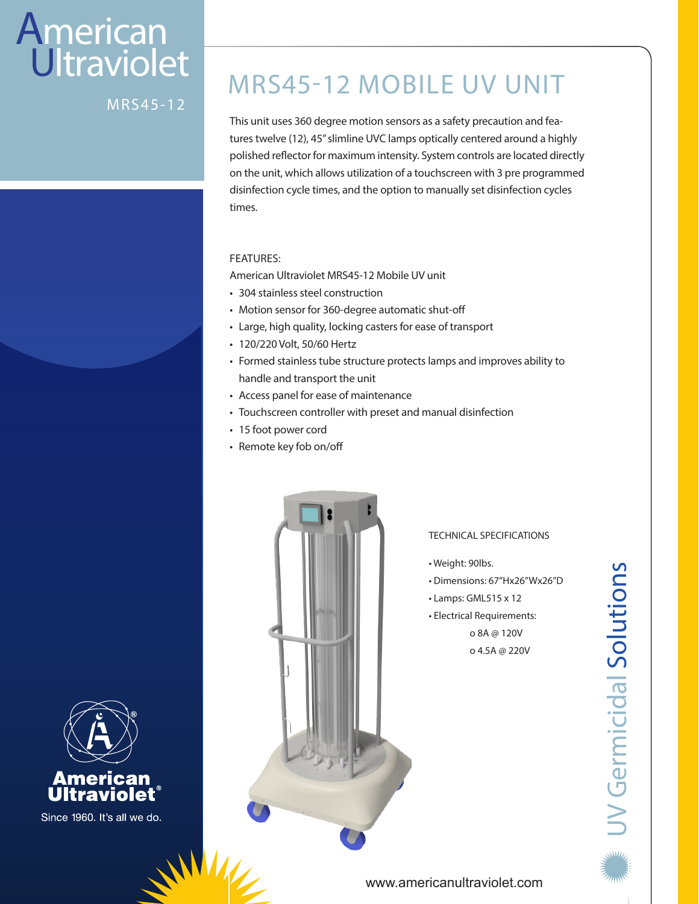# **American Ultraviolet**

MRS45-12

## MRS45-12 MOBILE UV UNIT

This unit uses 360 degree motion sensors as a safety precaution and features twelve (12), 45" slimline UVC lamps optically centered around a highly polished reflector for maximum intensity. System controls are located directly on the unit, which allows utilization of a touchscreen with 3 pre programmed disinfection cycle times, and the option to manually set disinfection cycles times.

#### FEATURES:

American Ultraviolet MRS45-12 Mobile UV unit

- 304 stainless steel construction
- Motion sensor for 360-degree automatic shut-off
- Large, high quality, locking casters for ease of transport
- 120/220 Volt, 50/60 Hertz
- Formed stainless tube structure protects lamps and improves ability to handle and transport the unit
- Access panel for ease of maintenance
- Touchscreen controller with preset and manual disinfection
- 15 foot power cord
- Remote key fob on/off



#### TECHNICAL SPECIFICATIONS

- Weight: 90lbs.
- Dimensions: 67"Hx26"Wx26"D
- Lamps: GML515 x 12
- Electrical Requirements: o 8A @ 120V

o 4.5A @ 220V





Since 1960. It's all we do.

#### www.americanultraviolet.com